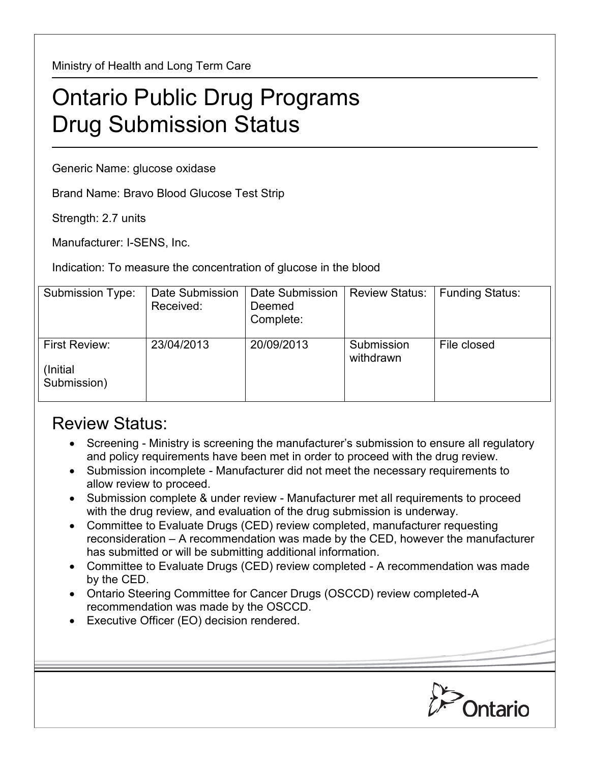Ministry of Health and Long Term Care

## Ontario Public Drug Programs Drug Submission Status

Generic Name: glucose oxidase

Brand Name: Bravo Blood Glucose Test Strip

Strength: 2.7 units

Manufacturer: I-SENS, Inc.

Indication: To measure the concentration of glucose in the blood

| Submission Type:                          | Date Submission<br>Received: | Date Submission<br>Deemed<br>Complete: | <b>Review Status:</b>   | <b>Funding Status:</b> |
|-------------------------------------------|------------------------------|----------------------------------------|-------------------------|------------------------|
| First Review:<br>(Initial)<br>Submission) | 23/04/2013                   | 20/09/2013                             | Submission<br>withdrawn | File closed            |

## Review Status:

- Screening Ministry is screening the manufacturer's submission to ensure all regulatory and policy requirements have been met in order to proceed with the drug review.
- Submission incomplete Manufacturer did not meet the necessary requirements to allow review to proceed.
- Submission complete & under review Manufacturer met all requirements to proceed with the drug review, and evaluation of the drug submission is underway.
- Committee to Evaluate Drugs (CED) review completed, manufacturer requesting reconsideration – A recommendation was made by the CED, however the manufacturer has submitted or will be submitting additional information.
- Committee to Evaluate Drugs (CED) review completed A recommendation was made by the CED.
- Ontario Steering Committee for Cancer Drugs (OSCCD) review completed-A recommendation was made by the OSCCD.
- Executive Officer (EO) decision rendered.